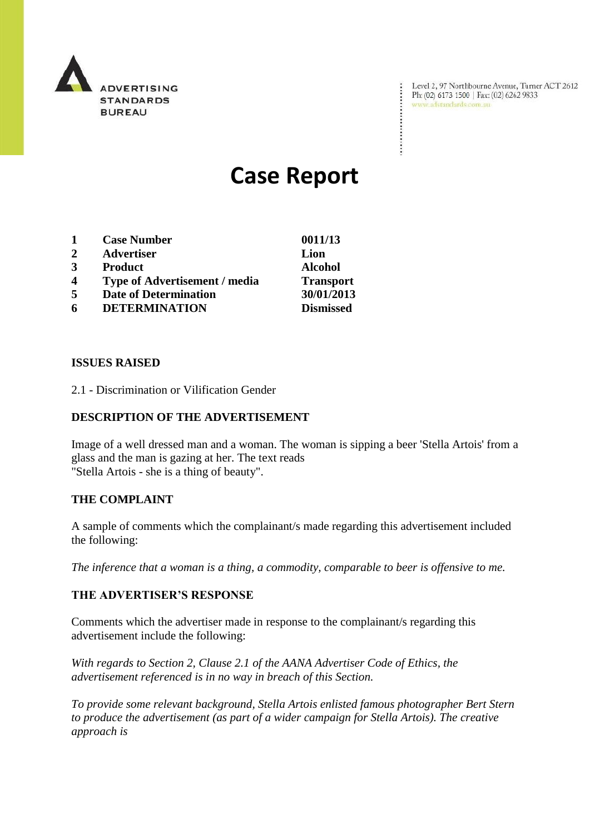

Level 2, 97 Northbourne Avenue, Turner ACT 2612 Ph: (02) 6173 1500 | Fax: (02) 6262 9833 www.adstandards.com.au

÷

# **Case Report**

| 1 | <b>Case Number</b>                   | 0011/13          |
|---|--------------------------------------|------------------|
| 2 | <b>Advertiser</b>                    | Lion             |
| 3 | <b>Product</b>                       | <b>Alcohol</b>   |
| 4 | <b>Type of Advertisement / media</b> | <b>Transport</b> |
| 5 | <b>Date of Determination</b>         | 30/01/2013       |
| 6 | <b>DETERMINATION</b>                 | <b>Dismissed</b> |

#### **ISSUES RAISED**

2.1 - Discrimination or Vilification Gender

### **DESCRIPTION OF THE ADVERTISEMENT**

Image of a well dressed man and a woman. The woman is sipping a beer 'Stella Artois' from a glass and the man is gazing at her. The text reads "Stella Artois - she is a thing of beauty".

#### **THE COMPLAINT**

A sample of comments which the complainant/s made regarding this advertisement included the following:

*The inference that a woman is a thing, a commodity, comparable to beer is offensive to me.*

#### **THE ADVERTISER'S RESPONSE**

Comments which the advertiser made in response to the complainant/s regarding this advertisement include the following:

*With regards to Section 2, Clause 2.1 of the AANA Advertiser Code of Ethics, the advertisement referenced is in no way in breach of this Section.*

*To provide some relevant background, Stella Artois enlisted famous photographer Bert Stern to produce the advertisement (as part of a wider campaign for Stella Artois). The creative approach is*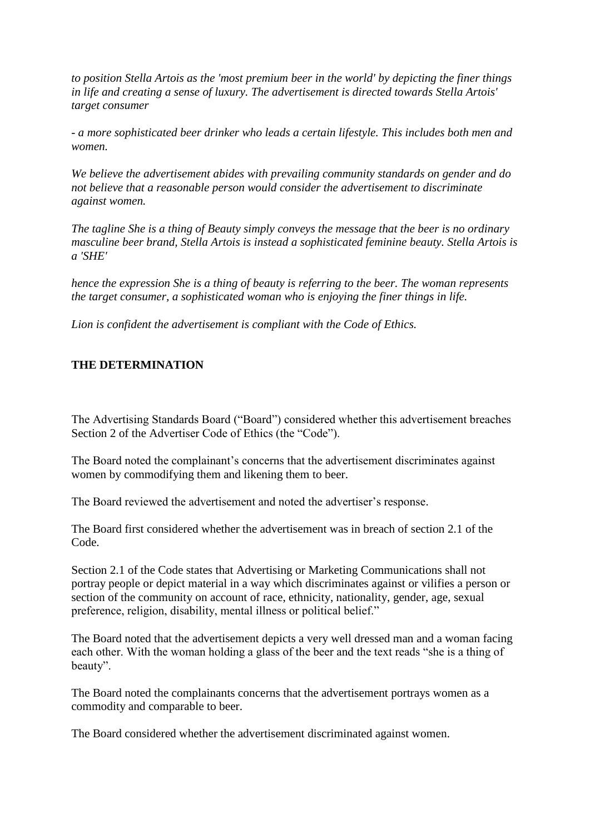*to position Stella Artois as the 'most premium beer in the world' by depicting the finer things in life and creating a sense of luxury. The advertisement is directed towards Stella Artois' target consumer*

*- a more sophisticated beer drinker who leads a certain lifestyle. This includes both men and women.*

*We believe the advertisement abides with prevailing community standards on gender and do not believe that a reasonable person would consider the advertisement to discriminate against women.*

*The tagline She is a thing of Beauty simply conveys the message that the beer is no ordinary masculine beer brand, Stella Artois is instead a sophisticated feminine beauty. Stella Artois is a 'SHE'*

*hence the expression She is a thing of beauty is referring to the beer. The woman represents the target consumer, a sophisticated woman who is enjoying the finer things in life.*

*Lion is confident the advertisement is compliant with the Code of Ethics.*

## **THE DETERMINATION**

The Advertising Standards Board ("Board") considered whether this advertisement breaches Section 2 of the Advertiser Code of Ethics (the "Code").

The Board noted the complainant's concerns that the advertisement discriminates against women by commodifying them and likening them to beer.

The Board reviewed the advertisement and noted the advertiser's response.

The Board first considered whether the advertisement was in breach of section 2.1 of the Code.

Section 2.1 of the Code states that Advertising or Marketing Communications shall not portray people or depict material in a way which discriminates against or vilifies a person or section of the community on account of race, ethnicity, nationality, gender, age, sexual preference, religion, disability, mental illness or political belief."

The Board noted that the advertisement depicts a very well dressed man and a woman facing each other. With the woman holding a glass of the beer and the text reads "she is a thing of beauty".

The Board noted the complainants concerns that the advertisement portrays women as a commodity and comparable to beer.

The Board considered whether the advertisement discriminated against women.